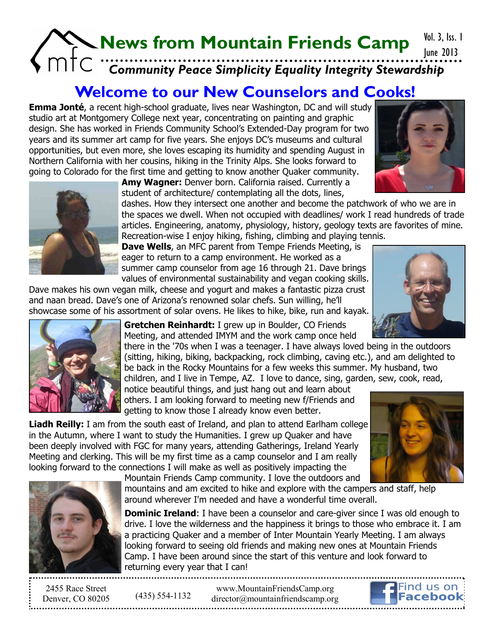## **News from Mountain Friends Camp** *Community Peace Simplicity Equality Integrity Stewardship* June 2013

## **Welcome to our New Counselors and Cooks!**

**Emma Jonté**, a recent high-school graduate, lives near Washington, DC and will study studio art at Montgomery College next year, concentrating on painting and graphic design. She has worked in Friends Community School's Extended-Day program for two years and its summer art camp for five years. She enjoys DC's museums and cultural opportunities, but even more, she loves escaping its humidity and spending August in Northern California with her cousins, hiking in the Trinity Alps. She looks forward to going to Colorado for the first time and getting to know another Quaker community.

**Amy Wagner:** Denver born. California raised. Currently a student of architecture/ contemplating all the dots, lines,

dashes. How they intersect one another and become the patchwork of who we are in the spaces we dwell. When not occupied with deadlines/ work I read hundreds of trade articles. Engineering, anatomy, physiology, history, geology texts are favorites of mine. Recreation-wise I enjoy hiking, fishing, climbing and playing tennis.

**Dave Wells**, an MFC parent from Tempe Friends Meeting, is eager to return to a camp environment. He worked as a summer camp counselor from age 16 through 21. Dave brings values of environmental sustainability and vegan cooking skills.

Dave makes his own vegan milk, cheese and yogurt and makes a fantastic pizza crust and naan bread. Dave's one of Arizona's renowned solar chefs. Sun willing, he'll showcase some of his assortment of solar ovens. He likes to hike, bike, run and kayak.

> **Gretchen Reinhardt:** I grew up in Boulder, CO Friends Meeting, and attended IMYM and the work camp once held

there in the '70s when I was a teenager. I have always loved being in the outdoors (sitting, hiking, biking, backpacking, rock climbing, caving etc.), and am delighted to be back in the Rocky Mountains for a few weeks this summer. My husband, two children, and I live in Tempe, AZ. I love to dance, sing, garden, sew, cook, read,

notice beautiful things, and just hang out and learn about others. I am looking forward to meeting new f/Friends and getting to know those I already know even better.

**Liadh Reilly:** I am from the south east of Ireland, and plan to attend Earlham college in the Autumn, where I want to study the Humanities. I grew up Quaker and have been deeply involved with FGC for many years, attending Gatherings, Ireland Yearly Meeting and clerking. This will be my first time as a camp counselor and I am really looking forward to the connections I will make as well as positively impacting the Mountain Friends Camp community. I love the outdoors and

mountains and am excited to hike and explore with the campers and staff, help around wherever I'm needed and have a wonderful time overall.

**Dominic Ireland:** I have been a counselor and care-giver since I was old enough to drive. I love the wilderness and the happiness it brings to those who embrace it. I am a practicing Quaker and a member of Inter Mountain Yearly Meeting. I am always looking forward to seeing old friends and making new ones at Mountain Friends Camp. I have been around since the start of this venture and look forward to returning every year that I can!

2455 Race Street Denver, CO 80205 (435) 554-1132









www.MountainFriendsCamp.org d[irector@mountainfriendscamp.org](mailto:Director@MountainFriendsCamp.org)